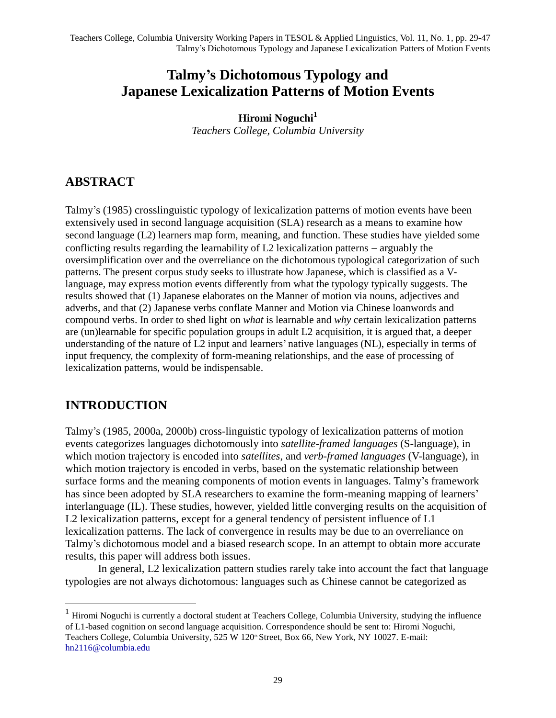# **Talmy's Dichotomous Typology and Japanese Lexicalization Patterns of Motion Events**

**Hiromi Noguchi<sup>1</sup>** *Teachers College, Columbia University*

### **ABSTRACT**

Talmy's (1985) crosslinguistic typology of lexicalization patterns of motion events have been extensively used in second language acquisition (SLA) research as a means to examine how second language (L2) learners map form, meaning, and function. These studies have yielded some conflicting results regarding the learnability of L2 lexicalization patterns  $-$  arguably the oversimplification over and the overreliance on the dichotomous typological categorization of such patterns. The present corpus study seeks to illustrate how Japanese, which is classified as a Vlanguage, may express motion events differently from what the typology typically suggests. The results showed that (1) Japanese elaborates on the Manner of motion via nouns, adjectives and adverbs, and that (2) Japanese verbs conflate Manner and Motion via Chinese loanwords and compound verbs. In order to shed light on *what* is learnable and *why* certain lexicalization patterns are (un)learnable for specific population groups in adult L2 acquisition, it is argued that, a deeper understanding of the nature of L2 input and learners' native languages (NL), especially in terms of input frequency, the complexity of form-meaning relationships, and the ease of processing of lexicalization patterns, would be indispensable.

## **INTRODUCTION**

 $\overline{a}$ 

Talmy's (1985, 2000a, 2000b) cross-linguistic typology of lexicalization patterns of motion events categorizes languages dichotomously into *satellite-framed languages* (S-language), in which motion trajectory is encoded into *satellites*, and *verb-framed languages* (V-language), in which motion trajectory is encoded in verbs, based on the systematic relationship between surface forms and the meaning components of motion events in languages. Talmy's framework has since been adopted by SLA researchers to examine the form-meaning mapping of learners' interlanguage (IL). These studies, however, yielded little converging results on the acquisition of L2 lexicalization patterns, except for a general tendency of persistent influence of L1 lexicalization patterns. The lack of convergence in results may be due to an overreliance on Talmy's dichotomous model and a biased research scope. In an attempt to obtain more accurate results, this paper will address both issues.

In general, L2 lexicalization pattern studies rarely take into account the fact that language typologies are not always dichotomous: languages such as Chinese cannot be categorized as

 $<sup>1</sup>$  Hiromi Noguchi is currently a doctoral student at Teachers College, Columbia University, studying the influence</sup> of L1-based cognition on second language acquisition. Correspondence should be sent to: Hiromi Noguchi, Teachers College, Columbia University, 525 W 120<sup>th</sup> Street, Box 66, New York, NY 10027. E-mail: [hn2116@columbia.edu](mailto:hn2116@columbia.edu)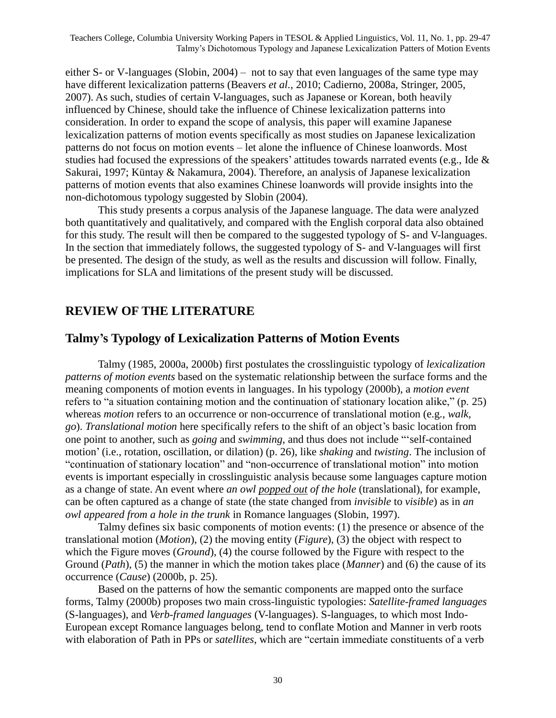either S- or V-languages (Slobin, 2004) – not to say that even languages of the same type may have different lexicalization patterns (Beavers *et al.*, 2010; Cadierno, 2008a, Stringer, 2005, 2007). As such, studies of certain V-languages, such as Japanese or Korean, both heavily influenced by Chinese, should take the influence of Chinese lexicalization patterns into consideration. In order to expand the scope of analysis, this paper will examine Japanese lexicalization patterns of motion events specifically as most studies on Japanese lexicalization patterns do not focus on motion events – let alone the influence of Chinese loanwords. Most studies had focused the expressions of the speakers' attitudes towards narrated events (e.g., Ide & Sakurai, 1997; Küntay & Nakamura, 2004). Therefore, an analysis of Japanese lexicalization patterns of motion events that also examines Chinese loanwords will provide insights into the non-dichotomous typology suggested by Slobin (2004).

This study presents a corpus analysis of the Japanese language. The data were analyzed both quantitatively and qualitatively, and compared with the English corporal data also obtained for this study. The result will then be compared to the suggested typology of S- and V-languages. In the section that immediately follows, the suggested typology of S- and V-languages will first be presented. The design of the study, as well as the results and discussion will follow. Finally, implications for SLA and limitations of the present study will be discussed.

### **REVIEW OF THE LITERATURE**

#### **Talmy's Typology of Lexicalization Patterns of Motion Events**

Talmy (1985, 2000a, 2000b) first postulates the crosslinguistic typology of *lexicalization patterns of motion events* based on the systematic relationship between the surface forms and the meaning components of motion events in languages. In his typology (2000b), a *motion event* refers to "a situation containing motion and the continuation of stationary location alike,"  $(p. 25)$ whereas *motion* refers to an occurrence or non-occurrence of translational motion (e.g., *walk*, *go*). *Translational motion* here specifically refers to the shift of an object's basic location from one point to another, such as *going* and *swimming*, and thus does not include "self-contained" motion' (i.e., rotation, oscillation, or dilation) (p. 26), like *shaking* and *twisting*. The inclusion of "continuation of stationary location" and "non-occurrence of translational motion" into motion events is important especially in crosslinguistic analysis because some languages capture motion as a change of state. An event where *an owl popped out of the hole* (translational), for example, can be often captured as a change of state (the state changed from *invisible* to *visible*) as in *an owl appeared from a hole in the trunk* in Romance languages (Slobin, 1997).

Talmy defines six basic components of motion events: (1) the presence or absence of the translational motion (*Motion*), (2) the moving entity (*Figure*), (3) the object with respect to which the Figure moves (*Ground*), (4) the course followed by the Figure with respect to the Ground (*Path*), (5) the manner in which the motion takes place (*Manner*) and (6) the cause of its occurrence (*Cause*) (2000b, p. 25).

Based on the patterns of how the semantic components are mapped onto the surface forms, Talmy (2000b) proposes two main cross-linguistic typologies: *Satellite-framed languages* (S-languages), and *Verb-framed languages* (V-languages). S-languages, to which most Indo-European except Romance languages belong, tend to conflate Motion and Manner in verb roots with elaboration of Path in PPs or *satellites*, which are "certain immediate constituents of a verb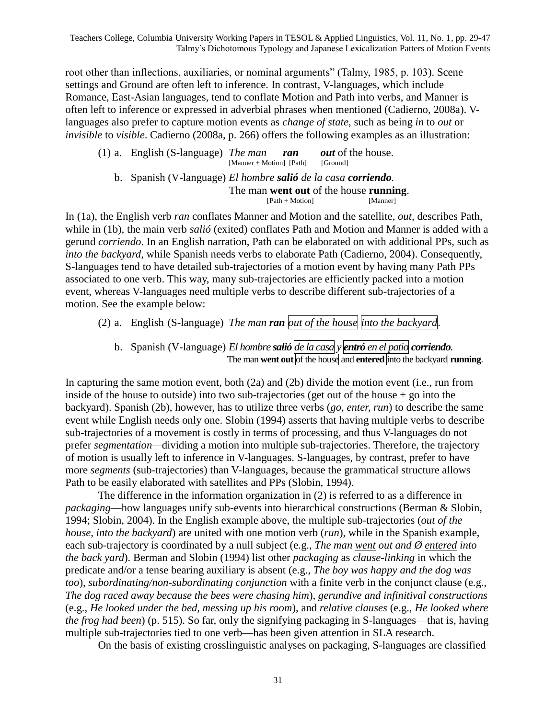root other than inflections, auxiliaries, or nominal arguments" (Talmy, 1985, p. 103). Scene settings and Ground are often left to inference. In contrast, V-languages, which include Romance, East-Asian languages, tend to conflate Motion and Path into verbs, and Manner is often left to inference or expressed in adverbial phrases when mentioned (Cadierno, 2008a). Vlanguages also prefer to capture motion events as *change of state*, such as being *in* to *out* or *invisible* to *visible*. Cadierno (2008a, p. 266) offers the following examples as an illustration:

(1) a. English (S-language) *The man ran out* of the house. [Manner + Motion] [Path] b. Spanish (V-language) *El hombre salió de la casa corriendo.* The man **went out** of the house **running**.

[Path + Motion] [Manner]

In (1a), the English verb *ran* conflates Manner and Motion and the satellite, *out,* describes Path, while in (1b), the main verb *salió* (exited) conflates Path and Motion and Manner is added with a gerund *corriendo*. In an English narration, Path can be elaborated on with additional PPs, such as *into the backyard*, while Spanish needs verbs to elaborate Path (Cadierno, 2004). Consequently, S-languages tend to have detailed sub-trajectories of a motion event by having many Path PPs associated to one verb. This way, many sub-trajectories are efficiently packed into a motion event, whereas V-languages need multiple verbs to describe different sub-trajectories of a motion. See the example below:

- (2) a. English (S-language) *The man ran out of the house into the backyard*.
	- b. Spanish (V-language) *El hombre salió de la casa y entró en el patio corriendo.* The man **went out** of the house and **entered** into the backyard **running**.

In capturing the same motion event, both (2a) and (2b) divide the motion event (i.e., run from inside of the house to outside) into two sub-trajectories (get out of the house  $+$  go into the backyard). Spanish (2b), however, has to utilize three verbs (*go, enter, run*) to describe the same event while English needs only one. Slobin (1994) asserts that having multiple verbs to describe sub-trajectories of a movement is costly in terms of processing, and thus V-languages do not prefer *segmentation—*dividing a motion into multiple sub-trajectories. Therefore, the trajectory of motion is usually left to inference in V-languages. S-languages, by contrast, prefer to have more *segments* (sub-trajectories) than V-languages, because the grammatical structure allows Path to be easily elaborated with satellites and PPs (Slobin, 1994).

The difference in the information organization in (2) is referred to as a difference in *packaging*—how languages unify sub-events into hierarchical constructions (Berman & Slobin, 1994; Slobin, 2004). In the English example above, the multiple sub-trajectories (*out of the house*, *into the backyard*) are united with one motion verb (*run*), while in the Spanish example, each sub-trajectory is coordinated by a null subject (e.g., *The man went out and Ø entered into the back yard*). Berman and Slobin (1994) list other *packaging* as *clause-linking* in which the predicate and/or a tense bearing auxiliary is absent (e.g., *The boy was happy and the dog was too*), *subordinating/non-subordinating conjunction* with a finite verb in the conjunct clause (e.g., *The dog raced away because the bees were chasing him*), *gerundive and infinitival constructions* (e.g., *He looked under the bed, messing up his room*), and *relative clauses* (e.g., *He looked where the frog had been*) (p. 515). So far, only the signifying packaging in S-languages—that is, having multiple sub-trajectories tied to one verb—has been given attention in SLA research.

On the basis of existing crosslinguistic analyses on packaging, S-languages are classified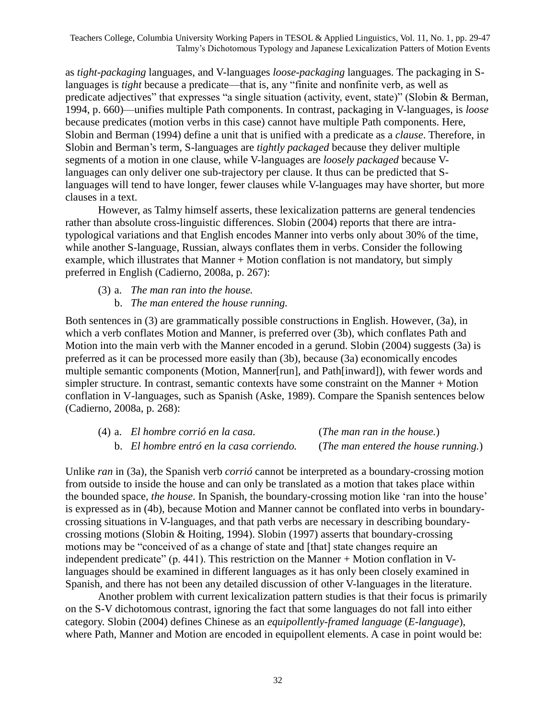as *tight-packaging* languages, and V-languages *loose-packaging* languages*.* The packaging in Slanguages is *tight* because a predicate—that is, any "finite and nonfinite verb, as well as predicate adjectives" that expresses "a single situation (activity, event, state)" (Slobin & Berman, 1994, p. 660)—unifies multiple Path components. In contrast, packaging in V-languages, is *loose* because predicates (motion verbs in this case) cannot have multiple Path components. Here, Slobin and Berman (1994) define a unit that is unified with a predicate as a *clause*. Therefore, in Slobin and Berman's term, S-languages are *tightly packaged* because they deliver multiple segments of a motion in one clause, while V-languages are *loosely packaged* because Vlanguages can only deliver one sub-trajectory per clause. It thus can be predicted that Slanguages will tend to have longer, fewer clauses while V-languages may have shorter, but more clauses in a text.

However, as Talmy himself asserts, these lexicalization patterns are general tendencies rather than absolute cross-linguistic differences. Slobin (2004) reports that there are intratypological variations and that English encodes Manner into verbs only about 30% of the time, while another S-language, Russian, always conflates them in verbs. Consider the following example, which illustrates that Manner + Motion conflation is not mandatory, but simply preferred in English (Cadierno, 2008a, p. 267):

- (3) a. *The man ran into the house.*
	- b. *The man entered the house running.*

Both sentences in (3) are grammatically possible constructions in English. However, (3a), in which a verb conflates Motion and Manner, is preferred over (3b), which conflates Path and Motion into the main verb with the Manner encoded in a gerund. Slobin (2004) suggests (3a) is preferred as it can be processed more easily than (3b), because (3a) economically encodes multiple semantic components (Motion, Manner[run], and Path[inward]), with fewer words and simpler structure. In contrast, semantic contexts have some constraint on the Manner + Motion conflation in V-languages, such as Spanish (Aske, 1989). Compare the Spanish sentences below (Cadierno, 2008a, p. 268):

| (4) a. El hombre corrió en la casa.      | ( <i>The man ran in the house</i> .)          |
|------------------------------------------|-----------------------------------------------|
| b. El hombre entró en la casa corriendo. | ( <i>The man entered the house running</i> .) |

Unlike *ran* in (3a), the Spanish verb *corrió* cannot be interpreted as a boundary-crossing motion from outside to inside the house and can only be translated as a motion that takes place within the bounded space, *the house*. In Spanish, the boundary-crossing motion like ‗ran into the house' is expressed as in (4b), because Motion and Manner cannot be conflated into verbs in boundarycrossing situations in V-languages, and that path verbs are necessary in describing boundarycrossing motions (Slobin & Hoiting, 1994). Slobin (1997) asserts that boundary-crossing motions may be "conceived of as a change of state and [that] state changes require an independent predicate" (p. 441). This restriction on the Manner + Motion conflation in Vlanguages should be examined in different languages as it has only been closely examined in Spanish, and there has not been any detailed discussion of other V-languages in the literature.

Another problem with current lexicalization pattern studies is that their focus is primarily on the S-V dichotomous contrast, ignoring the fact that some languages do not fall into either category. Slobin (2004) defines Chinese as an *equipollently-framed language* (*E-language*), where Path, Manner and Motion are encoded in equipollent elements. A case in point would be: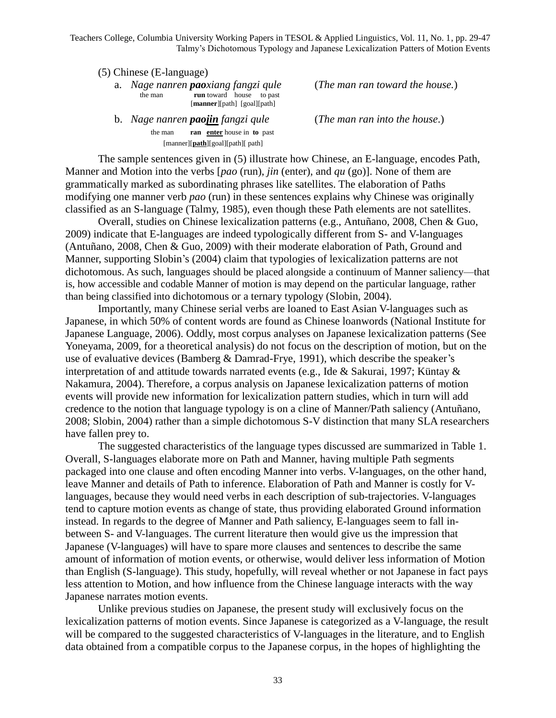(5) Chinese (E-language)

a. *Nage nanren paoxiang fangzi qule* (*The man ran toward the house.*) the man **run** toward house to past [**manner**][path] [goal][path]

b. *Nage nanren paojin fangzi qule* (*The man ran into the house*.) the man **ran enter** house in **to** past [manner][**path**][goal][path][ path]

The sample sentences given in (5) illustrate how Chinese, an E-language, encodes Path, Manner and Motion into the verbs [*pao* (run), *jin* (enter), and *qu* (go)]. None of them are grammatically marked as subordinating phrases like satellites. The elaboration of Paths modifying one manner verb *pao* (run) in these sentences explains why Chinese was originally classified as an S-language (Talmy, 1985), even though these Path elements are not satellites.

Overall, studies on Chinese lexicalization patterns (e.g., Antuñano, 2008, Chen & Guo, 2009) indicate that E-languages are indeed typologically different from S- and V-languages (Antuñano, 2008, Chen & Guo, 2009) with their moderate elaboration of Path, Ground and Manner, supporting Slobin's (2004) claim that typologies of lexicalization patterns are not dichotomous. As such, languages should be placed alongside a continuum of Manner saliency—that is, how accessible and codable Manner of motion is may depend on the particular language, rather than being classified into dichotomous or a ternary typology (Slobin, 2004).

Importantly, many Chinese serial verbs are loaned to East Asian V-languages such as Japanese, in which 50% of content words are found as Chinese loanwords (National Institute for Japanese Language, 2006). Oddly, most corpus analyses on Japanese lexicalization patterns (See Yoneyama, 2009, for a theoretical analysis) do not focus on the description of motion, but on the use of evaluative devices (Bamberg & Damrad-Frye, 1991), which describe the speaker's interpretation of and attitude towards narrated events (e.g., Ide & Sakurai, 1997; Küntay & Nakamura, 2004). Therefore, a corpus analysis on Japanese lexicalization patterns of motion events will provide new information for lexicalization pattern studies, which in turn will add credence to the notion that language typology is on a cline of Manner/Path saliency (Antuñano, 2008; Slobin, 2004) rather than a simple dichotomous S-V distinction that many SLA researchers have fallen prey to.

The suggested characteristics of the language types discussed are summarized in Table 1. Overall, S-languages elaborate more on Path and Manner, having multiple Path segments packaged into one clause and often encoding Manner into verbs. V-languages, on the other hand, leave Manner and details of Path to inference. Elaboration of Path and Manner is costly for Vlanguages, because they would need verbs in each description of sub-trajectories. V-languages tend to capture motion events as change of state, thus providing elaborated Ground information instead. In regards to the degree of Manner and Path saliency, E-languages seem to fall inbetween S- and V-languages. The current literature then would give us the impression that Japanese (V-languages) will have to spare more clauses and sentences to describe the same amount of information of motion events, or otherwise, would deliver less information of Motion than English (S-language). This study, hopefully, will reveal whether or not Japanese in fact pays less attention to Motion, and how influence from the Chinese language interacts with the way Japanese narrates motion events.

Unlike previous studies on Japanese, the present study will exclusively focus on the lexicalization patterns of motion events. Since Japanese is categorized as a V-language, the result will be compared to the suggested characteristics of V-languages in the literature, and to English data obtained from a compatible corpus to the Japanese corpus, in the hopes of highlighting the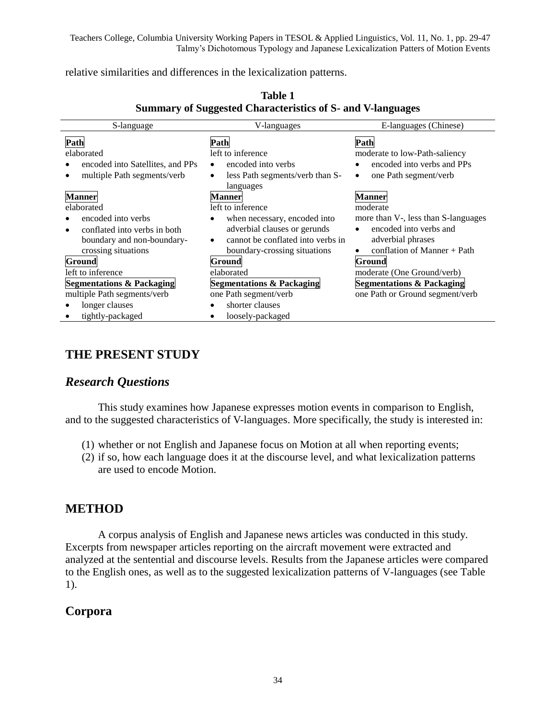relative similarities and differences in the lexicalization patterns.

| S-language                           | V-languages                                    | E-languages (Chinese)                |
|--------------------------------------|------------------------------------------------|--------------------------------------|
| Path                                 | Path                                           | Path                                 |
| elaborated                           | left to inference                              | moderate to low-Path-saliency        |
| encoded into Satellites, and PPs     | encoded into verbs<br>$\bullet$                | encoded into verbs and PPs           |
| multiple Path segments/verb          | less Path segments/verb than S-<br>$\bullet$   | one Path segment/verb<br>$\bullet$   |
|                                      | languages                                      |                                      |
| Manner                               | <b>Manner</b>                                  | <b>Manner</b>                        |
| elaborated                           | left to inference                              | moderate                             |
| encoded into verbs                   | when necessary, encoded into<br>٠              | more than V-, less than S-languages  |
| conflated into verbs in both         | adverbial clauses or gerunds                   | encoded into verbs and               |
| boundary and non-boundary-           | cannot be conflated into verbs in<br>$\bullet$ | adverbial phrases                    |
| crossing situations                  | boundary-crossing situations                   | conflation of Manner $+$ Path        |
| <b>Ground</b>                        | Ground                                         | Ground                               |
| left to inference                    | elaborated                                     | moderate (One Ground/verb)           |
| <b>Segmentations &amp; Packaging</b> | <b>Segmentations &amp; Packaging</b>           | <b>Segmentations &amp; Packaging</b> |
| multiple Path segments/verb          | one Path segment/verb                          | one Path or Ground segment/verb      |
| longer clauses                       | shorter clauses                                |                                      |
| tightly-packaged                     | loosely-packaged                               |                                      |

### **Table 1 Summary of Suggested Characteristics of S- and V-languages**

# **THE PRESENT STUDY**

## *Research Questions*

This study examines how Japanese expresses motion events in comparison to English, and to the suggested characteristics of V-languages. More specifically, the study is interested in:

- (1) whether or not English and Japanese focus on Motion at all when reporting events;
- (2) if so, how each language does it at the discourse level, and what lexicalization patterns are used to encode Motion.

## **METHOD**

A corpus analysis of English and Japanese news articles was conducted in this study. Excerpts from newspaper articles reporting on the aircraft movement were extracted and analyzed at the sentential and discourse levels. Results from the Japanese articles were compared to the English ones, as well as to the suggested lexicalization patterns of V-languages (see Table 1).

# **Corpora**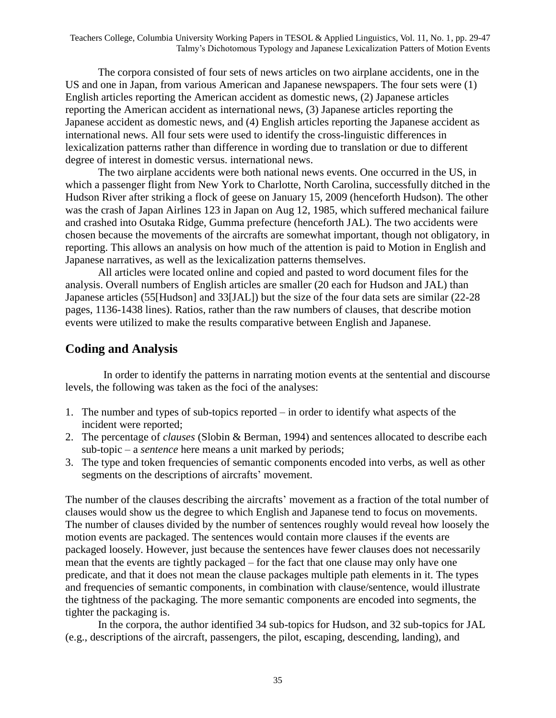The corpora consisted of four sets of news articles on two airplane accidents, one in the US and one in Japan, from various American and Japanese newspapers. The four sets were (1) English articles reporting the American accident as domestic news, (2) Japanese articles reporting the American accident as international news, (3) Japanese articles reporting the Japanese accident as domestic news, and (4) English articles reporting the Japanese accident as international news. All four sets were used to identify the cross-linguistic differences in lexicalization patterns rather than difference in wording due to translation or due to different degree of interest in domestic versus. international news.

The two airplane accidents were both national news events. One occurred in the US, in which a passenger flight from New York to Charlotte, North Carolina, successfully ditched in the Hudson River after striking a flock of geese on January 15, 2009 (henceforth Hudson). The other was the crash of Japan Airlines 123 in Japan on Aug 12, 1985, which suffered mechanical failure and crashed into Osutaka Ridge, Gumma prefecture (henceforth JAL). The two accidents were chosen because the movements of the aircrafts are somewhat important, though not obligatory, in reporting. This allows an analysis on how much of the attention is paid to Motion in English and Japanese narratives, as well as the lexicalization patterns themselves.

All articles were located online and copied and pasted to word document files for the analysis. Overall numbers of English articles are smaller (20 each for Hudson and JAL) than Japanese articles (55[Hudson] and 33[JAL]) but the size of the four data sets are similar (22-28 pages, 1136-1438 lines). Ratios, rather than the raw numbers of clauses, that describe motion events were utilized to make the results comparative between English and Japanese.

## **Coding and Analysis**

In order to identify the patterns in narrating motion events at the sentential and discourse levels, the following was taken as the foci of the analyses:

- 1. The number and types of sub-topics reported in order to identify what aspects of the incident were reported;
- 2. The percentage of *clauses* (Slobin & Berman, 1994) and sentences allocated to describe each sub-topic – a *sentence* here means a unit marked by periods;
- 3. The type and token frequencies of semantic components encoded into verbs, as well as other segments on the descriptions of aircrafts' movement.

The number of the clauses describing the aircrafts' movement as a fraction of the total number of clauses would show us the degree to which English and Japanese tend to focus on movements. The number of clauses divided by the number of sentences roughly would reveal how loosely the motion events are packaged. The sentences would contain more clauses if the events are packaged loosely. However, just because the sentences have fewer clauses does not necessarily mean that the events are tightly packaged – for the fact that one clause may only have one predicate, and that it does not mean the clause packages multiple path elements in it. The types and frequencies of semantic components, in combination with clause/sentence, would illustrate the tightness of the packaging. The more semantic components are encoded into segments, the tighter the packaging is.

In the corpora, the author identified 34 sub-topics for Hudson, and 32 sub-topics for JAL (e.g., descriptions of the aircraft, passengers, the pilot, escaping, descending, landing), and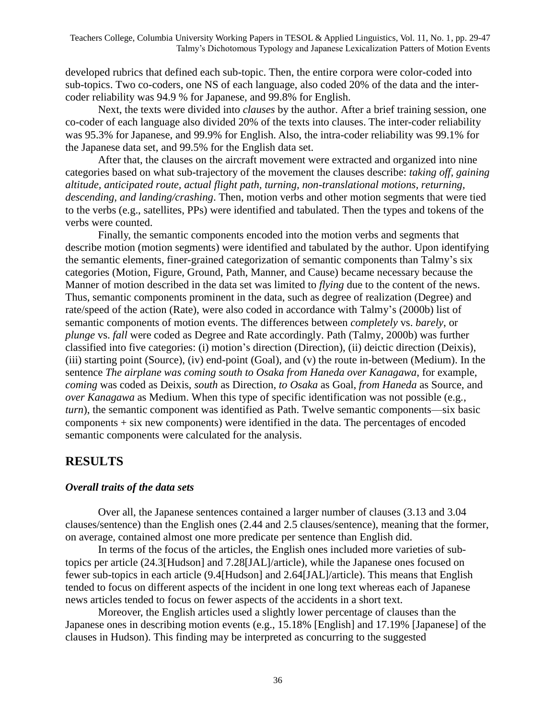developed rubrics that defined each sub-topic. Then, the entire corpora were color-coded into sub-topics. Two co-coders, one NS of each language, also coded 20% of the data and the intercoder reliability was 94.9 % for Japanese, and 99.8% for English.

Next, the texts were divided into *clauses* by the author. After a brief training session, one co-coder of each language also divided 20% of the texts into clauses. The inter-coder reliability was 95.3% for Japanese, and 99.9% for English. Also, the intra-coder reliability was 99.1% for the Japanese data set, and 99.5% for the English data set.

After that, the clauses on the aircraft movement were extracted and organized into nine categories based on what sub-trajectory of the movement the clauses describe: *taking off, gaining altitude, anticipated route, actual flight path, turning, non-translational motions, returning, descending, and landing/crashing*. Then, motion verbs and other motion segments that were tied to the verbs (e.g., satellites, PPs) were identified and tabulated. Then the types and tokens of the verbs were counted.

Finally, the semantic components encoded into the motion verbs and segments that describe motion (motion segments) were identified and tabulated by the author. Upon identifying the semantic elements, finer-grained categorization of semantic components than Talmy's six categories (Motion, Figure, Ground, Path, Manner, and Cause) became necessary because the Manner of motion described in the data set was limited to *flying* due to the content of the news. Thus, semantic components prominent in the data, such as degree of realization (Degree) and rate/speed of the action (Rate), were also coded in accordance with Talmy's (2000b) list of semantic components of motion events. The differences between *completely* vs. *barely*, or *plunge* vs. *fall* were coded as Degree and Rate accordingly. Path (Talmy, 2000b) was further classified into five categories: (i) motion's direction (Direction), (ii) deictic direction (Deixis), (iii) starting point (Source), (iv) end-point (Goal), and (v) the route in-between (Medium). In the sentence *The airplane was coming south to Osaka from Haneda over Kanagawa*, for example, *coming* was coded as Deixis, *south* as Direction, *to Osaka* as Goal, *from Haneda* as Source, and *over Kanagawa* as Medium. When this type of specific identification was not possible (e.g., *turn*), the semantic component was identified as Path. Twelve semantic components—six basic components + six new components) were identified in the data. The percentages of encoded semantic components were calculated for the analysis.

#### **RESULTS**

#### *Overall traits of the data sets*

Over all, the Japanese sentences contained a larger number of clauses (3.13 and 3.04 clauses/sentence) than the English ones (2.44 and 2.5 clauses/sentence), meaning that the former, on average, contained almost one more predicate per sentence than English did.

In terms of the focus of the articles, the English ones included more varieties of subtopics per article (24.3[Hudson] and 7.28[JAL]/article), while the Japanese ones focused on fewer sub-topics in each article (9.4[Hudson] and 2.64[JAL]/article). This means that English tended to focus on different aspects of the incident in one long text whereas each of Japanese news articles tended to focus on fewer aspects of the accidents in a short text.

Moreover, the English articles used a slightly lower percentage of clauses than the Japanese ones in describing motion events (e.g., 15.18% [English] and 17.19% [Japanese] of the clauses in Hudson). This finding may be interpreted as concurring to the suggested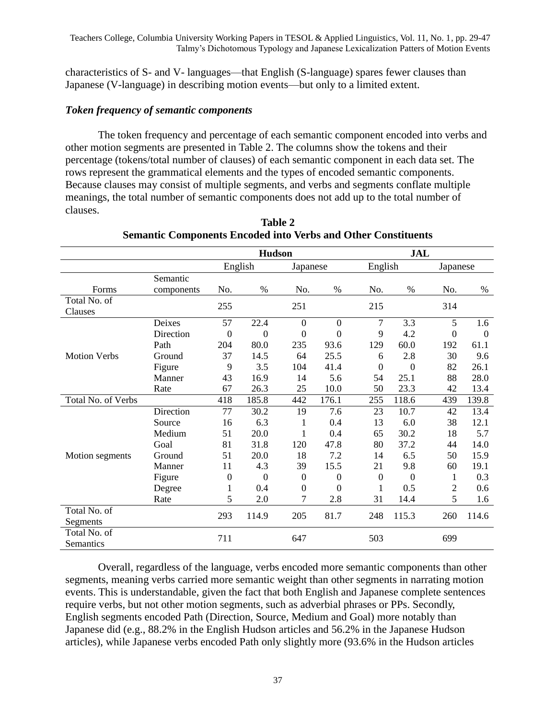characteristics of S- and V- languages—that English (S-language) spares fewer clauses than Japanese (V-language) in describing motion events—but only to a limited extent.

#### *Token frequency of semantic components*

The token frequency and percentage of each semantic component encoded into verbs and other motion segments are presented in Table 2. The columns show the tokens and their percentage (tokens/total number of clauses) of each semantic component in each data set. The rows represent the grammatical elements and the types of encoded semantic components. Because clauses may consist of multiple segments, and verbs and segments conflate multiple meanings, the total number of semantic components does not add up to the total number of clauses.

|                           |            |                | <b>Hudson</b>  |                  |                  | JAL            |                  |                  |                |
|---------------------------|------------|----------------|----------------|------------------|------------------|----------------|------------------|------------------|----------------|
|                           |            | English        |                | Japanese         |                  | English        |                  | Japanese         |                |
|                           | Semantic   |                |                |                  |                  |                |                  |                  |                |
| Forms                     | components | No.            | $\%$           | No.              | $\%$             | No.            | $\%$             | No.              | $\%$           |
| Total No. of<br>Clauses   |            | 255            |                | 251              |                  | 215            |                  | 314              |                |
|                           | Deixes     | 57             | 22.4           | $\mathbf{0}$     | $\mathbf{0}$     | 7              | 3.3              | 5                | 1.6            |
|                           | Direction  | $\overline{0}$ | $\overline{0}$ | $\overline{0}$   | $\theta$         | 9              | 4.2              | $\boldsymbol{0}$ | $\overline{0}$ |
|                           | Path       | 204            | 80.0           | 235              | 93.6             | 129            | 60.0             | 192              | 61.1           |
| <b>Motion Verbs</b>       | Ground     | 37             | 14.5           | 64               | 25.5             | 6              | 2.8              | 30               | 9.6            |
|                           | Figure     | 9              | 3.5            | 104              | 41.4             | $\overline{0}$ | $\boldsymbol{0}$ | 82               | 26.1           |
|                           | Manner     | 43             | 16.9           | 14               | 5.6              | 54             | 25.1             | 88               | 28.0           |
|                           | Rate       | 67             | 26.3           | 25               | 10.0             | 50             | 23.3             | 42               | 13.4           |
| Total No. of Verbs        |            | 418            | 185.8          | 442              | 176.1            | 255            | 118.6            | 439              | 139.8          |
|                           | Direction  | 77             | 30.2           | 19               | 7.6              | 23             | 10.7             | 42               | 13.4           |
|                           | Source     | 16             | 6.3            | 1                | 0.4              | 13             | 6.0              | 38               | 12.1           |
|                           | Medium     | 51             | 20.0           | 1                | 0.4              | 65             | 30.2             | 18               | 5.7            |
|                           | Goal       | 81             | 31.8           | 120              | 47.8             | 80             | 37.2             | 44               | 14.0           |
| Motion segments           | Ground     | 51             | 20.0           | 18               | 7.2              | 14             | 6.5              | 50               | 15.9           |
|                           | Manner     | 11             | 4.3            | 39               | 15.5             | 21             | 9.8              | 60               | 19.1           |
|                           | Figure     | 0              | $\overline{0}$ | $\Omega$         | $\Omega$         | $\Omega$       | $\theta$         | 1                | 0.3            |
|                           | Degree     | 1              | 0.4            | $\boldsymbol{0}$ | $\boldsymbol{0}$ | 1              | 0.5              | 2                | 0.6            |
|                           | Rate       | 5              | 2.0            | 7                | 2.8              | 31             | 14.4             | 5                | 1.6            |
| Total No. of<br>Segments  |            | 293            | 114.9          | 205              | 81.7             | 248            | 115.3            | 260              | 114.6          |
| Total No. of<br>Semantics |            | 711            |                | 647              |                  | 503            |                  | 699              |                |

**Table 2 Semantic Components Encoded into Verbs and Other Constituents**

Overall, regardless of the language, verbs encoded more semantic components than other segments, meaning verbs carried more semantic weight than other segments in narrating motion events. This is understandable, given the fact that both English and Japanese complete sentences require verbs, but not other motion segments, such as adverbial phrases or PPs. Secondly, English segments encoded Path (Direction, Source, Medium and Goal) more notably than Japanese did (e.g., 88.2% in the English Hudson articles and 56.2% in the Japanese Hudson articles), while Japanese verbs encoded Path only slightly more (93.6% in the Hudson articles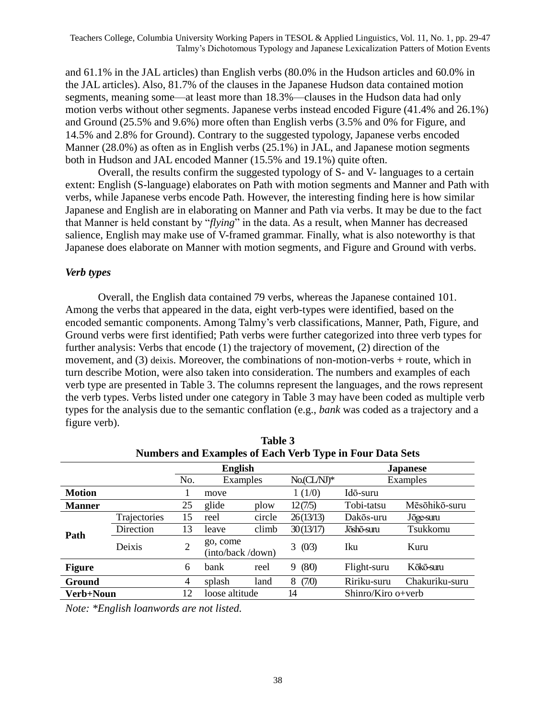and 61.1% in the JAL articles) than English verbs (80.0% in the Hudson articles and 60.0% in the JAL articles). Also, 81.7% of the clauses in the Japanese Hudson data contained motion segments, meaning some—at least more than 18.3%—clauses in the Hudson data had only motion verbs without other segments. Japanese verbs instead encoded Figure (41.4% and 26.1%) and Ground (25.5% and 9.6%) more often than English verbs (3.5% and 0% for Figure, and 14.5% and 2.8% for Ground). Contrary to the suggested typology, Japanese verbs encoded Manner (28.0%) as often as in English verbs (25.1%) in JAL, and Japanese motion segments both in Hudson and JAL encoded Manner (15.5% and 19.1%) quite often.

Overall, the results confirm the suggested typology of S- and V- languages to a certain extent: English (S-language) elaborates on Path with motion segments and Manner and Path with verbs, while Japanese verbs encode Path. However, the interesting finding here is how similar Japanese and English are in elaborating on Manner and Path via verbs. It may be due to the fact that Manner is held constant by *"flying*" in the data. As a result, when Manner has decreased salience, English may make use of V-framed grammar. Finally, what is also noteworthy is that Japanese does elaborate on Manner with motion segments, and Figure and Ground with verbs.

#### *Verb types*

Overall, the English data contained 79 verbs, whereas the Japanese contained 101. Among the verbs that appeared in the data, eight verb-types were identified, based on the encoded semantic components. Among Talmy's verb classifications, Manner, Path, Figure, and Ground verbs were first identified; Path verbs were further categorized into three verb types for further analysis: Verbs that encode (1) the trajectory of movement, (2) direction of the movement, and (3) deixis. Moreover, the combinations of non-motion-verbs + route, which in turn describe Motion, were also taken into consideration. The numbers and examples of each verb type are presented in Table 3. The columns represent the languages, and the rows represent the verb types. Verbs listed under one category in Table 3 may have been coded as multiple verb types for the analysis due to the semantic conflation (e.g., *bank* was coded as a trajectory and a figure verb).

**Table 3** 

| 1able 3                                                         |              |                |                               |        |            |                     |                |  |
|-----------------------------------------------------------------|--------------|----------------|-------------------------------|--------|------------|---------------------|----------------|--|
| <b>Numbers and Examples of Each Verb Type in Four Data Sets</b> |              |                |                               |        |            |                     |                |  |
|                                                                 |              | <b>English</b> |                               |        |            | <b>Japanese</b>     |                |  |
|                                                                 |              | No.            | Examples                      |        | $No(CLM)*$ |                     | Examples       |  |
| <b>Motion</b>                                                   |              |                | move                          |        | 1(1/0)     | Idō-suru            |                |  |
| <b>Manner</b>                                                   |              | 25             | glide                         | plow   | 12(7/5)    | Tobi-tatsu          | Mēsōhikō-suru  |  |
|                                                                 | Trajectories | 15             | reel                          | circle | 26(13/13)  | Dakōs-uru           | Jōge-suru      |  |
| Path                                                            | Direction    | 13             | leave                         | climb  | 30(13/17)  | Jōshō-suru          | Tsukkomu       |  |
|                                                                 | Deixis       | $\overline{2}$ | go, come<br>(into/back /down) |        | 3<br>(0/3) | <b>Iku</b>          | Kuru           |  |
| <b>Figure</b>                                                   |              | 6              | bank                          | reel   | (80)<br>9  | Flight-suru         | Kōkō-suru      |  |
| Ground                                                          |              | 4              | splash                        | land   | (7/0)<br>8 | Ririku-suru         | Chakuriku-suru |  |
| Verb+Noun                                                       |              | 12             | loose altitude                |        | 14         | $Shinro/Kiroo+verb$ |                |  |

*Note: \*English loanwords are not listed.*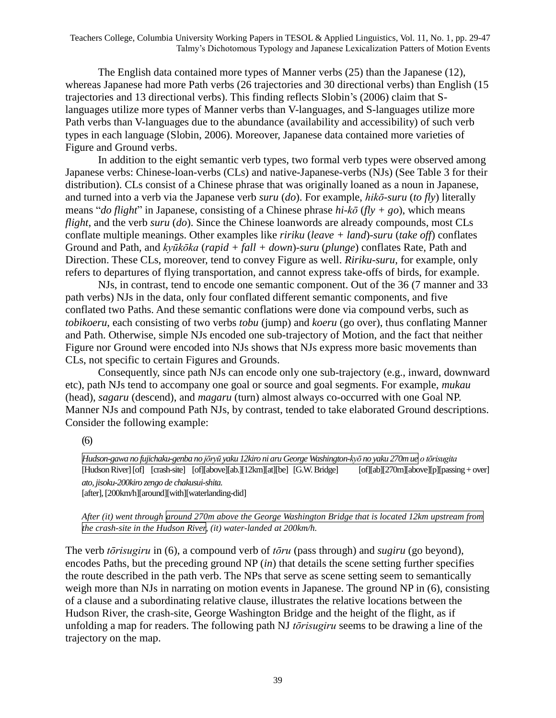The English data contained more types of Manner verbs (25) than the Japanese (12), whereas Japanese had more Path verbs (26 trajectories and 30 directional verbs) than English (15 trajectories and 13 directional verbs). This finding reflects Slobin's (2006) claim that Slanguages utilize more types of Manner verbs than V-languages, and S-languages utilize more Path verbs than V-languages due to the abundance (availability and accessibility) of such verb types in each language (Slobin, 2006). Moreover, Japanese data contained more varieties of Figure and Ground verbs.

In addition to the eight semantic verb types, two formal verb types were observed among Japanese verbs: Chinese-loan-verbs (CLs) and native-Japanese-verbs (NJs) (See Table 3 for their distribution). CLs consist of a Chinese phrase that was originally loaned as a noun in Japanese, and turned into a verb via the Japanese verb *suru* (*do*). For example, *hikō-suru* (*to fly*) literally means "*do flight*" in Japanese, consisting of a Chinese phrase *hi-kō* ( $fly + go$ ), which means *flight*, and the verb *suru* (*do*). Since the Chinese loanwords are already compounds, most CLs conflate multiple meanings. Other examples like *ririku* (*leave + land*)*-suru* (*take off*) conflates Ground and Path, and *kyūkōka* (*rapid + fall + down*)*-suru* (*plunge*) conflates Rate, Path and Direction. These CLs, moreover, tend to convey Figure as well. *Ririku-suru*, for example, only refers to departures of flying transportation, and cannot express take-offs of birds, for example.

NJs, in contrast, tend to encode one semantic component. Out of the 36 (7 manner and 33 path verbs) NJs in the data, only four conflated different semantic components, and five conflated two Paths. And these semantic conflations were done via compound verbs, such as *tobikoeru*, each consisting of two verbs *tobu* (jump) and *koeru* (go over), thus conflating Manner and Path. Otherwise, simple NJs encoded one sub-trajectory of Motion, and the fact that neither Figure nor Ground were encoded into NJs shows that NJs express more basic movements than CLs, not specific to certain Figures and Grounds.

Consequently, since path NJs can encode only one sub-trajectory (e.g., inward, downward etc), path NJs tend to accompany one goal or source and goal segments. For example, *mukau* (head), *sagaru* (descend), and *magaru* (turn) almost always co-occurred with one Goal NP. Manner NJs and compound Path NJs, by contrast, tended to take elaborated Ground descriptions. Consider the following example:

(6)

*Hudson-gawa no fujichaku-genba no jōryū yaku 12kiro ni aru George Washington-kyō no yaku 270mue o tōrisugita* [Hudson River] [of] [crash-site] [of][above][ab.][12km][at][be] [G.W. Bridge] [of][ab][270m][above][p][passing+ over] *ato, jisoku-200kiro zengo de chakusui-shita.* [after], [200km/h][around][with][waterlanding-did]

*After (it) went through around 270m above the George Washington Bridge that is located 12km upstream from the crash-site in the Hudson River, (it) water-landed at 200km/h.*

The verb *tōrisugiru* in (6), a compound verb of *tōru* (pass through) and *sugiru* (go beyond), encodes Paths, but the preceding ground NP (*in*) that details the scene setting further specifies the route described in the path verb. The NPs that serve as scene setting seem to semantically weigh more than NJs in narrating on motion events in Japanese. The ground NP in (6), consisting of a clause and a subordinating relative clause, illustrates the relative locations between the Hudson River, the crash-site, George Washington Bridge and the height of the flight, as if unfolding a map for readers. The following path NJ *tōrisugiru* seems to be drawing a line of the trajectory on the map.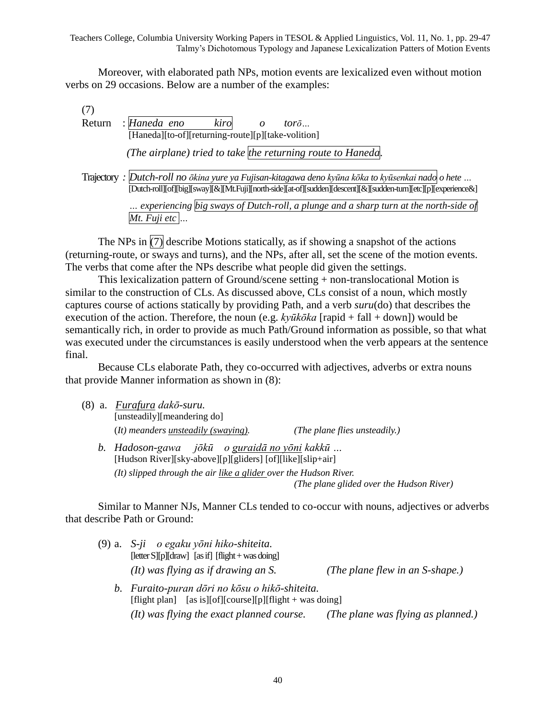Moreover, with elaborated path NPs, motion events are lexicalized even without motion verbs on 29 occasions. Below are a number of the examples:

(7) Return : *Haneda eno* kiro *o* torō... [Haneda][to-of][returning-route][p][take-volition] *(The airplane) tried to take the returning route to Haneda.* Trajectory *: Dutch-roll no ōkina yure ya Fujisan-kitagawa deno kyūna kōka to kyūsenkai nado o hete …* [Dutch-roll][of][big][sway][&][Mt.Fuji][north-side][at-of][sudden][descent][&][sudden-turn][etc][p][experience&] *… experiencing big sways of Dutch-roll, a plunge and a sharp turn at the north-side of Mt. Fuji etc …*

The NPs in  $(7)$  describe Motions statically, as if showing a snapshot of the actions (returning-route, or sways and turns), and the NPs, after all, set the scene of the motion events. The verbs that come after the NPs describe what people did given the settings.

This lexicalization pattern of Ground/scene setting + non-translocational Motion is similar to the construction of CLs. As discussed above, CLs consist of a noun, which mostly captures course of actions statically by providing Path, and a verb *suru*(do) that describes the execution of the action. Therefore, the noun (e.g. *kyūkōka* [rapid + fall + down]) would be semantically rich, in order to provide as much Path/Ground information as possible, so that what was executed under the circumstances is easily understood when the verb appears at the sentence final.

Because CLs elaborate Path, they co-occurred with adjectives, adverbs or extra nouns that provide Manner information as shown in (8):

|  | (8) a. Furafura dakō-suru.                                                      |  |
|--|---------------------------------------------------------------------------------|--|
|  | [unsteadily][meandering do]                                                     |  |
|  | $(It)$ meanders unsteadily (swaying).<br>( <i>The plane flies unsteadily.</i> ) |  |
|  | b. Hadoson-gawa jōkū o guraidā no yōni kakkū                                    |  |

[Hudson River][sky-above][p][gliders] [of][like][slip+air] *(It) slipped through the air like a glider over the Hudson River. (The plane glided over the Hudson River)*

Similar to Manner NJs, Manner CLs tended to co-occur with nouns, adjectives or adverbs that describe Path or Ground:

| (9) a. S-ji o egaku yōni hiko-shiteita.<br>$[\text{letter S}][p][\text{draw}]$ [as if] $[\text{flight} + \text{was doing}]$<br>(It) was flying as if drawing an S. | (The plane flew in an $S$ -shape.) |
|--------------------------------------------------------------------------------------------------------------------------------------------------------------------|------------------------------------|
| b. Furaito-puran dōri no kōsu o hikō-shiteita.<br>[flight plan] [as is][of][course][p][flight + was doing]                                                         |                                    |
| $(It) was flying the exact planned course.$                                                                                                                        | (The plane was flying as planned.) |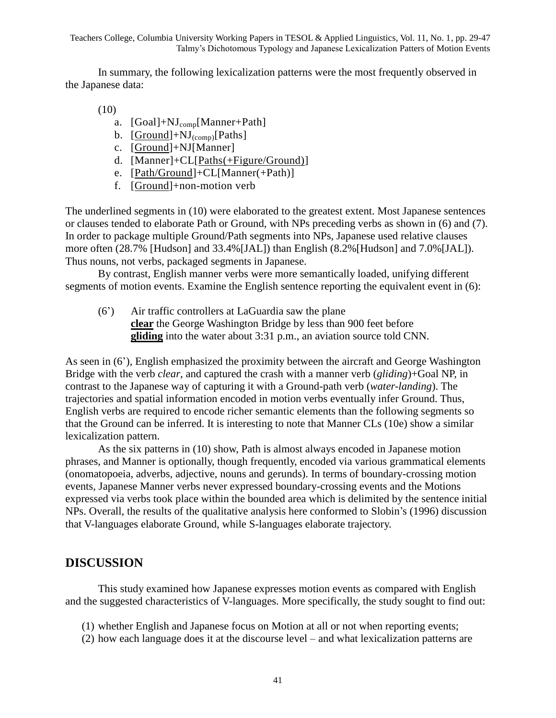In summary, the following lexicalization patterns were the most frequently observed in the Japanese data:

(10)

- a. [Goal]+NJ<sub>comp</sub>[Manner+Path]
- b.  $[Ground]+NJ_{(conn)}[Paths]$
- c. [Ground]+NJ[Manner]
- d. [Manner]+CL[Paths(+Figure/Ground)]
- e. [Path/Ground]+CL[Manner(+Path)]
- f. [Ground]+non-motion verb

The underlined segments in (10) were elaborated to the greatest extent. Most Japanese sentences or clauses tended to elaborate Path or Ground, with NPs preceding verbs as shown in (6) and (7). In order to package multiple Ground/Path segments into NPs, Japanese used relative clauses more often (28.7% [Hudson] and 33.4%[JAL]) than English (8.2%[Hudson] and 7.0%[JAL]). Thus nouns, not verbs, packaged segments in Japanese.

By contrast, English manner verbs were more semantically loaded, unifying different segments of motion events. Examine the English sentence reporting the equivalent event in (6):

(6') Air traffic controllers at LaGuardia saw the plane **clear** the George Washington Bridge by less than 900 feet before **gliding** into the water about 3:31 p.m., an aviation source told CNN.

As seen in (6'), English emphasized the proximity between the aircraft and George Washington Bridge with the verb *clear*, and captured the crash with a manner verb (*gliding*)+Goal NP, in contrast to the Japanese way of capturing it with a Ground-path verb (*water-landing*). The trajectories and spatial information encoded in motion verbs eventually infer Ground. Thus, English verbs are required to encode richer semantic elements than the following segments so that the Ground can be inferred. It is interesting to note that Manner CLs (10e) show a similar lexicalization pattern.

As the six patterns in (10) show, Path is almost always encoded in Japanese motion phrases, and Manner is optionally, though frequently, encoded via various grammatical elements (onomatopoeia, adverbs, adjective, nouns and gerunds). In terms of boundary-crossing motion events, Japanese Manner verbs never expressed boundary-crossing events and the Motions expressed via verbs took place within the bounded area which is delimited by the sentence initial NPs. Overall, the results of the qualitative analysis here conformed to Slobin's (1996) discussion that V-languages elaborate Ground, while S-languages elaborate trajectory.

#### **DISCUSSION**

This study examined how Japanese expresses motion events as compared with English and the suggested characteristics of V-languages. More specifically, the study sought to find out:

- (1) whether English and Japanese focus on Motion at all or not when reporting events;
- (2) how each language does it at the discourse level and what lexicalization patterns are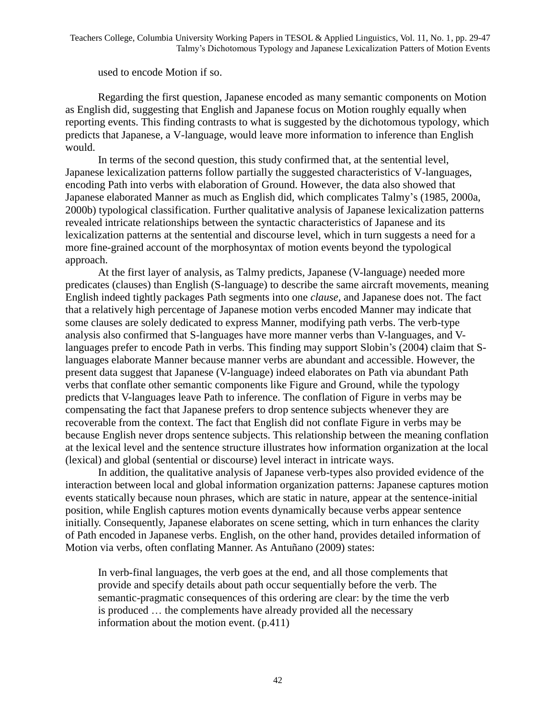#### used to encode Motion if so.

Regarding the first question, Japanese encoded as many semantic components on Motion as English did, suggesting that English and Japanese focus on Motion roughly equally when reporting events. This finding contrasts to what is suggested by the dichotomous typology, which predicts that Japanese, a V-language, would leave more information to inference than English would.

In terms of the second question, this study confirmed that, at the sentential level, Japanese lexicalization patterns follow partially the suggested characteristics of V-languages, encoding Path into verbs with elaboration of Ground. However, the data also showed that Japanese elaborated Manner as much as English did, which complicates Talmy's (1985, 2000a, 2000b) typological classification. Further qualitative analysis of Japanese lexicalization patterns revealed intricate relationships between the syntactic characteristics of Japanese and its lexicalization patterns at the sentential and discourse level, which in turn suggests a need for a more fine-grained account of the morphosyntax of motion events beyond the typological approach.

At the first layer of analysis, as Talmy predicts, Japanese (V-language) needed more predicates (clauses) than English (S-language) to describe the same aircraft movements, meaning English indeed tightly packages Path segments into one *clause*, and Japanese does not. The fact that a relatively high percentage of Japanese motion verbs encoded Manner may indicate that some clauses are solely dedicated to express Manner, modifying path verbs. The verb-type analysis also confirmed that S-languages have more manner verbs than V-languages, and Vlanguages prefer to encode Path in verbs. This finding may support Slobin's (2004) claim that Slanguages elaborate Manner because manner verbs are abundant and accessible. However, the present data suggest that Japanese (V-language) indeed elaborates on Path via abundant Path verbs that conflate other semantic components like Figure and Ground, while the typology predicts that V-languages leave Path to inference. The conflation of Figure in verbs may be compensating the fact that Japanese prefers to drop sentence subjects whenever they are recoverable from the context. The fact that English did not conflate Figure in verbs may be because English never drops sentence subjects. This relationship between the meaning conflation at the lexical level and the sentence structure illustrates how information organization at the local (lexical) and global (sentential or discourse) level interact in intricate ways.

In addition, the qualitative analysis of Japanese verb-types also provided evidence of the interaction between local and global information organization patterns: Japanese captures motion events statically because noun phrases, which are static in nature, appear at the sentence-initial position, while English captures motion events dynamically because verbs appear sentence initially. Consequently, Japanese elaborates on scene setting, which in turn enhances the clarity of Path encoded in Japanese verbs. English, on the other hand, provides detailed information of Motion via verbs, often conflating Manner. As Antuñano (2009) states:

In verb-final languages, the verb goes at the end, and all those complements that provide and specify details about path occur sequentially before the verb. The semantic-pragmatic consequences of this ordering are clear: by the time the verb is produced … the complements have already provided all the necessary information about the motion event. (p.411)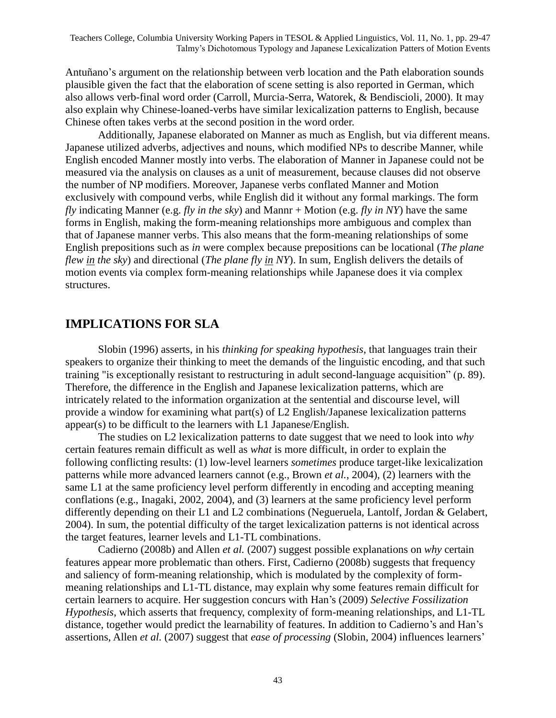Antuñano's argument on the relationship between verb location and the Path elaboration sounds plausible given the fact that the elaboration of scene setting is also reported in German, which also allows verb-final word order (Carroll, Murcia-Serra, Watorek, & Bendiscioli, 2000). It may also explain why Chinese-loaned-verbs have similar lexicalization patterns to English, because Chinese often takes verbs at the second position in the word order.

Additionally, Japanese elaborated on Manner as much as English, but via different means. Japanese utilized adverbs, adjectives and nouns, which modified NPs to describe Manner, while English encoded Manner mostly into verbs. The elaboration of Manner in Japanese could not be measured via the analysis on clauses as a unit of measurement, because clauses did not observe the number of NP modifiers. Moreover, Japanese verbs conflated Manner and Motion exclusively with compound verbs, while English did it without any formal markings. The form *fly* indicating Manner (e.g. *fly in the sky*) and Mannr + Motion (e.g. *fly in NY*) have the same forms in English, making the form-meaning relationships more ambiguous and complex than that of Japanese manner verbs. This also means that the form-meaning relationships of some English prepositions such as *in* were complex because prepositions can be locational (*The plane flew in the sky*) and directional (*The plane fly in NY*). In sum, English delivers the details of motion events via complex form-meaning relationships while Japanese does it via complex structures.

## **IMPLICATIONS FOR SLA**

Slobin (1996) asserts, in his *thinking for speaking hypothesis*, that languages train their speakers to organize their thinking to meet the demands of the linguistic encoding, and that such training "is exceptionally resistant to restructuring in adult second-language acquisition" (p. 89). Therefore, the difference in the English and Japanese lexicalization patterns, which are intricately related to the information organization at the sentential and discourse level, will provide a window for examining what part(s) of L2 English/Japanese lexicalization patterns appear(s) to be difficult to the learners with L1 Japanese/English.

The studies on L2 lexicalization patterns to date suggest that we need to look into *why* certain features remain difficult as well as *what* is more difficult, in order to explain the following conflicting results: (1) low-level learners *sometimes* produce target-like lexicalization patterns while more advanced learners cannot (e.g., Brown *et al.*, 2004), (2) learners with the same L1 at the same proficiency level perform differently in encoding and accepting meaning conflations (e.g., Inagaki, 2002, 2004), and (3) learners at the same proficiency level perform differently depending on their L1 and L2 combinations (Negueruela, Lantolf, Jordan & Gelabert, 2004). In sum, the potential difficulty of the target lexicalization patterns is not identical across the target features, learner levels and L1-TL combinations.

Cadierno (2008b) and Allen *et al.* (2007) suggest possible explanations on *why* certain features appear more problematic than others. First, Cadierno (2008b) suggests that frequency and saliency of form-meaning relationship, which is modulated by the complexity of formmeaning relationships and L1-TL distance, may explain why some features remain difficult for certain learners to acquire. Her suggestion concurs with Han's (2009) *Selective Fossilization Hypothesis*, which asserts that frequency, complexity of form-meaning relationships, and L1-TL distance, together would predict the learnability of features. In addition to Cadierno's and Han's assertions, Allen *et al.* (2007) suggest that *ease of processing* (Slobin, 2004) influences learners'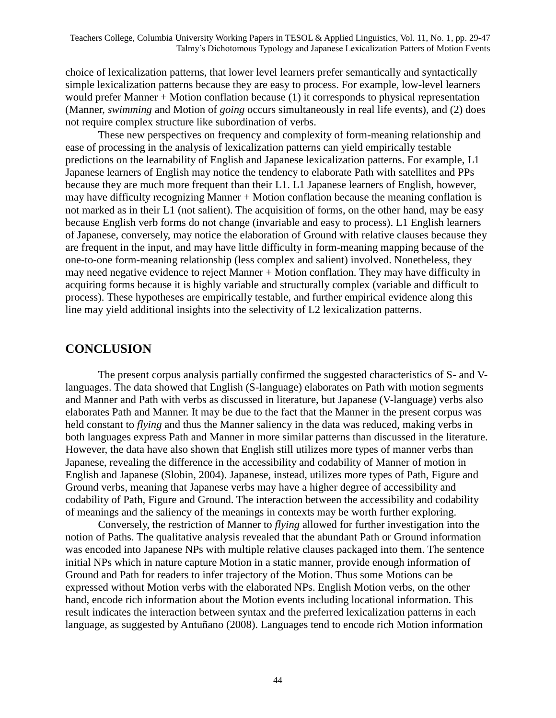choice of lexicalization patterns, that lower level learners prefer semantically and syntactically simple lexicalization patterns because they are easy to process. For example, low-level learners would prefer Manner  $+$  Motion conflation because (1) it corresponds to physical representation (Manner, *swimming* and Motion of *going* occurs simultaneously in real life events), and (2) does not require complex structure like subordination of verbs.

These new perspectives on frequency and complexity of form-meaning relationship and ease of processing in the analysis of lexicalization patterns can yield empirically testable predictions on the learnability of English and Japanese lexicalization patterns. For example, L1 Japanese learners of English may notice the tendency to elaborate Path with satellites and PPs because they are much more frequent than their L1. L1 Japanese learners of English, however, may have difficulty recognizing Manner + Motion conflation because the meaning conflation is not marked as in their L1 (not salient). The acquisition of forms, on the other hand, may be easy because English verb forms do not change (invariable and easy to process). L1 English learners of Japanese, conversely, may notice the elaboration of Ground with relative clauses because they are frequent in the input, and may have little difficulty in form-meaning mapping because of the one-to-one form-meaning relationship (less complex and salient) involved. Nonetheless, they may need negative evidence to reject Manner + Motion conflation. They may have difficulty in acquiring forms because it is highly variable and structurally complex (variable and difficult to process). These hypotheses are empirically testable, and further empirical evidence along this line may yield additional insights into the selectivity of L2 lexicalization patterns.

### **CONCLUSION**

The present corpus analysis partially confirmed the suggested characteristics of S- and Vlanguages. The data showed that English (S-language) elaborates on Path with motion segments and Manner and Path with verbs as discussed in literature, but Japanese (V-language) verbs also elaborates Path and Manner. It may be due to the fact that the Manner in the present corpus was held constant to *flying* and thus the Manner saliency in the data was reduced, making verbs in both languages express Path and Manner in more similar patterns than discussed in the literature. However, the data have also shown that English still utilizes more types of manner verbs than Japanese, revealing the difference in the accessibility and codability of Manner of motion in English and Japanese (Slobin, 2004). Japanese, instead, utilizes more types of Path, Figure and Ground verbs, meaning that Japanese verbs may have a higher degree of accessibility and codability of Path, Figure and Ground. The interaction between the accessibility and codability of meanings and the saliency of the meanings in contexts may be worth further exploring.

Conversely, the restriction of Manner to *flying* allowed for further investigation into the notion of Paths. The qualitative analysis revealed that the abundant Path or Ground information was encoded into Japanese NPs with multiple relative clauses packaged into them. The sentence initial NPs which in nature capture Motion in a static manner, provide enough information of Ground and Path for readers to infer trajectory of the Motion. Thus some Motions can be expressed without Motion verbs with the elaborated NPs. English Motion verbs, on the other hand, encode rich information about the Motion events including locational information. This result indicates the interaction between syntax and the preferred lexicalization patterns in each language, as suggested by Antuñano (2008). Languages tend to encode rich Motion information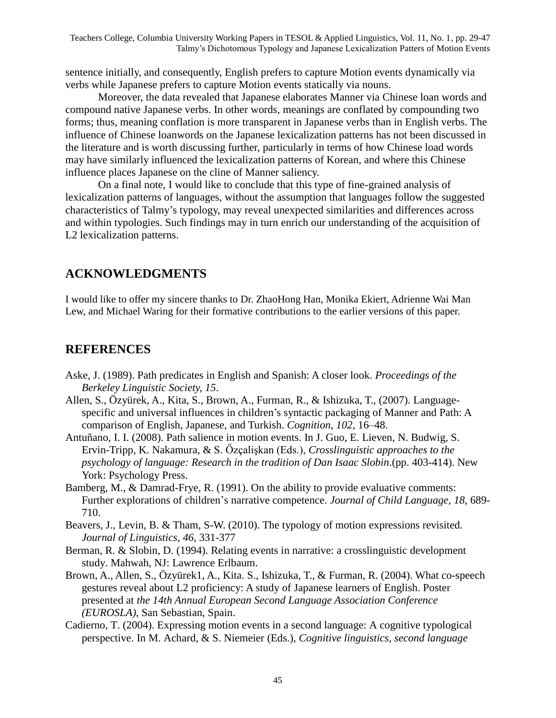sentence initially, and consequently, English prefers to capture Motion events dynamically via verbs while Japanese prefers to capture Motion events statically via nouns.

Moreover, the data revealed that Japanese elaborates Manner via Chinese loan words and compound native Japanese verbs. In other words, meanings are conflated by compounding two forms; thus, meaning conflation is more transparent in Japanese verbs than in English verbs. The influence of Chinese loanwords on the Japanese lexicalization patterns has not been discussed in the literature and is worth discussing further, particularly in terms of how Chinese load words may have similarly influenced the lexicalization patterns of Korean, and where this Chinese influence places Japanese on the cline of Manner saliency.

On a final note, I would like to conclude that this type of fine-grained analysis of lexicalization patterns of languages, without the assumption that languages follow the suggested characteristics of Talmy's typology, may reveal unexpected similarities and differences across and within typologies. Such findings may in turn enrich our understanding of the acquisition of L2 lexicalization patterns.

## **ACKNOWLEDGMENTS**

I would like to offer my sincere thanks to Dr. ZhaoHong Han, Monika Ekiert, Adrienne Wai Man Lew, and Michael Waring for their formative contributions to the earlier versions of this paper.

### **REFERENCES**

- Aske, J. (1989). Path predicates in English and Spanish: A closer look. *Proceedings of the Berkeley Linguistic Society, 15*.
- Allen, S., Özyürek, A., Kita, S., Brown, A., Furman, R., & Ishizuka, T., (2007). Languagespecific and universal influences in children's syntactic packaging of Manner and Path: A comparison of English, Japanese, and Turkish. *Cognition*, *102*, 16–48.
- Antuñano, I. I. (2008). Path salience in motion events. In J. Guo, E. Lieven, N. Budwig, S. Ervin-Tripp, K. Nakamura, & S. Őzçalişkan (Eds.), *Crosslinguistic approaches to the psychology of language: Research in the tradition of Dan Isaac Slobin*.(pp. 403-414). New York: Psychology Press.
- Bamberg, M., & Damrad-Frye, R. (1991). On the ability to provide evaluative comments: Further explorations of children's narrative competence. *Journal of Child Language, 18*, 689- 710.
- Beavers, J., Levin, B. & Tham, S-W. (2010). The typology of motion expressions revisited. *Journal of Linguistics, 46*, 331-377
- Berman, R. & Slobin, D. (1994). Relating events in narrative: a crosslinguistic development study. Mahwah, NJ: Lawrence Erlbaum.
- Brown, A., Allen, S., Özyürek1, A., Kita. S., Ishizuka, T., & Furman, R. (2004). What co-speech gestures reveal about L2 proficiency: A study of Japanese learners of English. Poster presented at *the 14th Annual European Second Language Association Conference (EUROSLA)*, San Sebastian, Spain.
- Cadierno, T. (2004). Expressing motion events in a second language: A cognitive typological perspective. In M. Achard, & S. Niemeier (Eds.), *Cognitive linguistics, second language*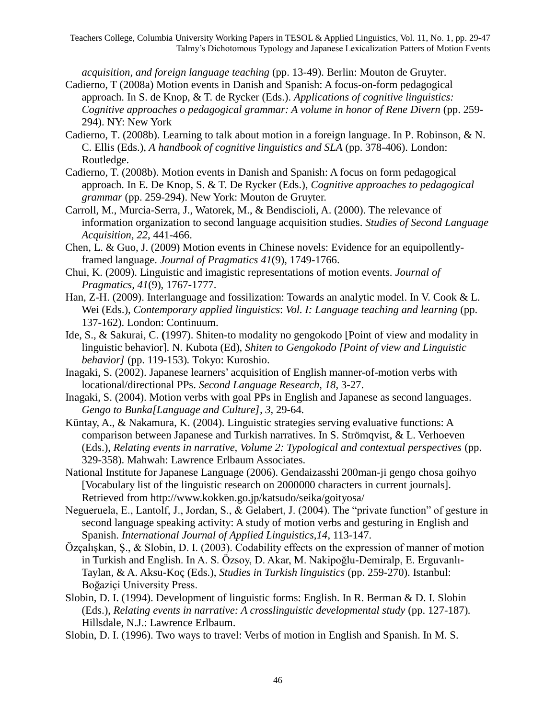*acquisition, and foreign language teaching* (pp. 13-49). Berlin: Mouton de Gruyter. Cadierno, T (2008a) Motion events in Danish and Spanish: A focus-on-form pedagogical

- approach. In S. de Knop, & T. de Rycker (Eds.). *Applications of cognitive linguistics: Cognitive approaches o pedagogical grammar: A volume in honor of Rene Divern* (pp. 259- 294). NY: New York
- Cadierno, T. (2008b). Learning to talk about motion in a foreign language. In P. Robinson, & N. C. Ellis (Eds.), *A handbook of cognitive linguistics and SLA* (pp. 378-406). London: Routledge.
- Cadierno, T. (2008b). Motion events in Danish and Spanish: A focus on form pedagogical approach. In E. De Knop, S. & T. De Rycker (Eds.), *Cognitive approaches to pedagogical grammar* (pp. 259-294). New York: Mouton de Gruyter.
- Carroll, M., Murcia-Serra, J., Watorek, M., & Bendiscioli, A. (2000). The relevance of information organization to second language acquisition studies. *Studies of Second Language Acquisition, 22*, 441-466.
- Chen, L. & Guo, J. (2009) Motion events in Chinese novels: Evidence for an equipollentlyframed language. *Journal of Pragmatics 41*(9), 1749-1766.
- Chui, K. (2009). Linguistic and imagistic representations of motion events. *Journal of Pragmatics, 41*(9), 1767-1777.
- Han, Z-H. (2009). Interlanguage and fossilization: Towards an analytic model. In V. Cook & L. Wei (Eds.), *Contemporary applied linguistics*: *Vol. I: Language teaching and learning* (pp. 137-162). London: Continuum.
- Ide, S., & Sakurai, C. **(**1997). Shiten-to modality no gengokodo [Point of view and modality in linguistic behavior]. N. Kubota (Ed), *Shiten to Gengokodo [Point of view and Linguistic behavior]* (pp. 119-153)*.* Tokyo: Kuroshio.
- Inagaki, S. (2002). Japanese learners' acquisition of English manner-of-motion verbs with locational/directional PPs. *Second Language Research*, *18*, 3-27.
- Inagaki, S. (2004). Motion verbs with goal PPs in English and Japanese as second languages. *Gengo to Bunka[Language and Culture], 3*, 29-64.
- Küntay, A., & Nakamura, K. (2004). Linguistic strategies serving evaluative functions: A comparison between Japanese and Turkish narratives. In S. Strömqvist, & L. Verhoeven (Eds.), *Relating events in narrative, Volume 2: Typological and contextual perspectives* (pp. 329-358). Mahwah: Lawrence Erlbaum Associates.
- National Institute for Japanese Language (2006). Gendaizasshi 200man-ji gengo chosa goihyo [Vocabulary list of the linguistic research on 2000000 characters in current journals]. Retrieved from http://www.kokken.go.jp/katsudo/seika/goityosa/
- Negueruela, E., Lantolf, J., Jordan, S., & Gelabert, J. (2004). The "private function" of gesture in second language speaking activity: A study of motion verbs and gesturing in English and Spanish. *International Journal of Applied Linguistics,14*, 113-147.
- Özçalışkan, Ş., & Slobin, D. I. (2003). Codability effects on the expression of manner of motion in Turkish and English. In A. S. Özsoy, D. Akar, M. Nakipoğlu-Demiralp, E. Erguvanlı-Taylan, & A. Aksu-Koç (Eds.), *Studies in Turkish linguistics* (pp. 259-270). Istanbul: Boğaziçi University Press.
- Slobin, D. I. (1994). Development of linguistic forms: English. In R. Berman & D. I. Slobin (Eds.), *Relating events in narrative: A crosslinguistic developmental study* (pp. 127-187)*.* Hillsdale, N.J.: Lawrence Erlbaum.
- Slobin, D. I. (1996). Two ways to travel: Verbs of motion in English and Spanish. In M. S.